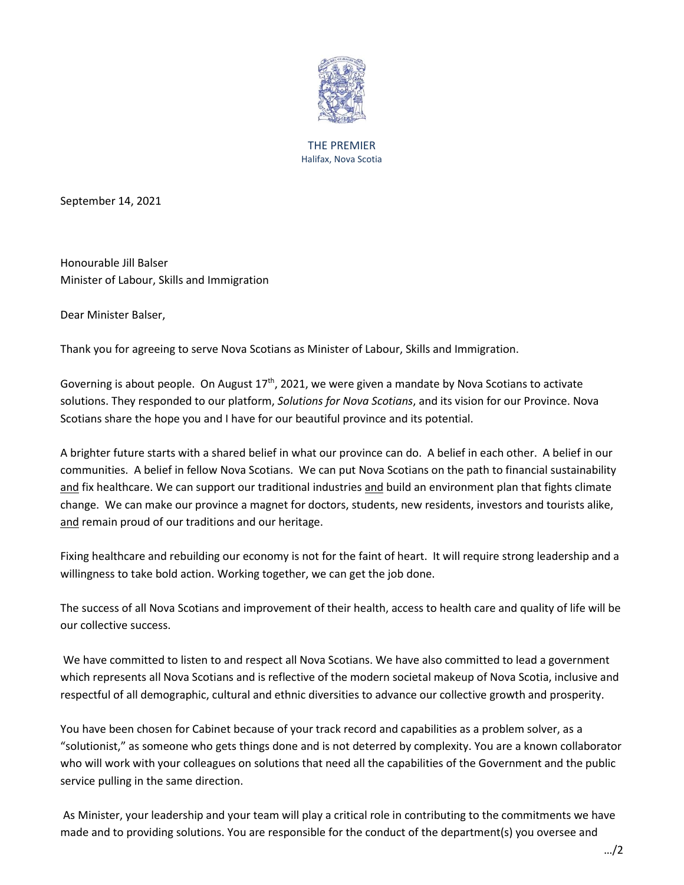

THE PREMIER Halifax, Nova Scotia

September 14, 2021

Honourable Jill Balser Minister of Labour, Skills and Immigration

Dear Minister Balser,

Thank you for agreeing to serve Nova Scotians as Minister of Labour, Skills and Immigration.

Governing is about people. On August  $17<sup>th</sup>$ , 2021, we were given a mandate by Nova Scotians to activate solutions. They responded to our platform, *Solutions for Nova Scotians*, and its vision for our Province. Nova Scotians share the hope you and I have for our beautiful province and its potential.

A brighter future starts with a shared belief in what our province can do. A belief in each other. A belief in our communities. A belief in fellow Nova Scotians. We can put Nova Scotians on the path to financial sustainability and fix healthcare. We can support our traditional industries and build an environment plan that fights climate change. We can make our province a magnet for doctors, students, new residents, investors and tourists alike, and remain proud of our traditions and our heritage.

Fixing healthcare and rebuilding our economy is not for the faint of heart. It will require strong leadership and a willingness to take bold action. Working together, we can get the job done.

The success of all Nova Scotians and improvement of their health, access to health care and quality of life will be our collective success.

We have committed to listen to and respect all Nova Scotians. We have also committed to lead a government which represents all Nova Scotians and is reflective of the modern societal makeup of Nova Scotia, inclusive and respectful of all demographic, cultural and ethnic diversities to advance our collective growth and prosperity.

You have been chosen for Cabinet because of your track record and capabilities as a problem solver, as a "solutionist," as someone who gets things done and is not deterred by complexity. You are a known collaborator who will work with your colleagues on solutions that need all the capabilities of the Government and the public service pulling in the same direction.

As Minister, your leadership and your team will play a critical role in contributing to the commitments we have made and to providing solutions. You are responsible for the conduct of the department(s) you oversee and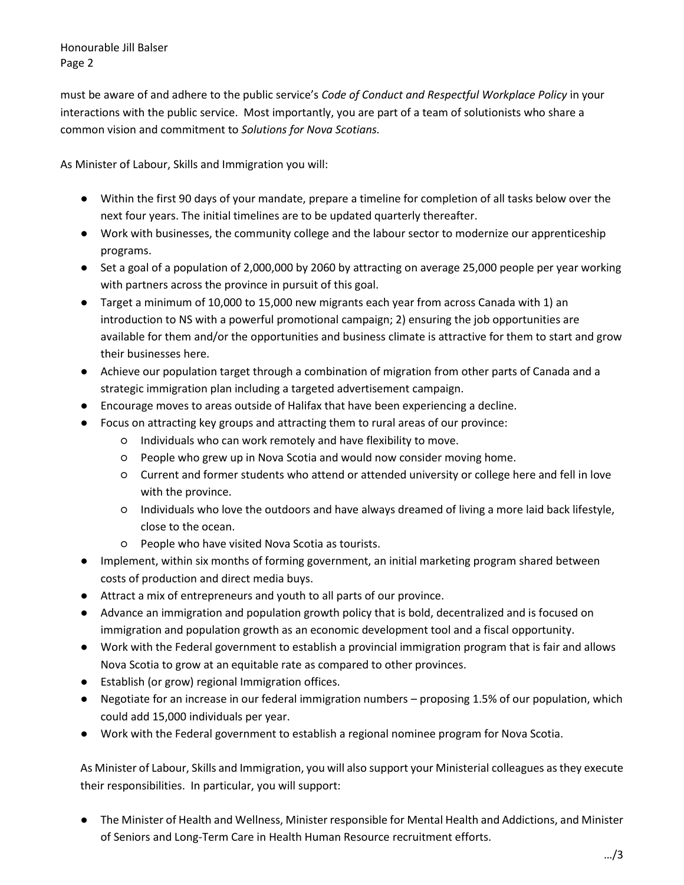Honourable Jill Balser Page 2

must be aware of and adhere to the public service's *Code of Conduct and Respectful Workplace Policy* in your interactions with the public service. Most importantly, you are part of a team of solutionists who share a common vision and commitment to *Solutions for Nova Scotians.*

As Minister of Labour, Skills and Immigration you will:

- Within the first 90 days of your mandate, prepare a timeline for completion of all tasks below over the next four years. The initial timelines are to be updated quarterly thereafter.
- Work with businesses, the community college and the labour sector to modernize our apprenticeship programs.
- Set a goal of a population of 2,000,000 by 2060 by attracting on average 25,000 people per year working with partners across the province in pursuit of this goal.
- Target a minimum of 10,000 to 15,000 new migrants each year from across Canada with 1) an introduction to NS with a powerful promotional campaign; 2) ensuring the job opportunities are available for them and/or the opportunities and business climate is attractive for them to start and grow their businesses here.
- Achieve our population target through a combination of migration from other parts of Canada and a strategic immigration plan including a targeted advertisement campaign.
- Encourage moves to areas outside of Halifax that have been experiencing a decline.
- Focus on attracting key groups and attracting them to rural areas of our province:
	- Individuals who can work remotely and have flexibility to move.
	- People who grew up in Nova Scotia and would now consider moving home.
	- Current and former students who attend or attended university or college here and fell in love with the province.
	- Individuals who love the outdoors and have always dreamed of living a more laid back lifestyle, close to the ocean.
	- People who have visited Nova Scotia as tourists.
- Implement, within six months of forming government, an initial marketing program shared between costs of production and direct media buys.
- Attract a mix of entrepreneurs and youth to all parts of our province.
- Advance an immigration and population growth policy that is bold, decentralized and is focused on immigration and population growth as an economic development tool and a fiscal opportunity.
- Work with the Federal government to establish a provincial immigration program that is fair and allows Nova Scotia to grow at an equitable rate as compared to other provinces.
- Establish (or grow) regional Immigration offices.
- Negotiate for an increase in our federal immigration numbers proposing 1.5% of our population, which could add 15,000 individuals per year.
- Work with the Federal government to establish a regional nominee program for Nova Scotia.

As Minister of Labour, Skills and Immigration, you will also support your Ministerial colleagues as they execute their responsibilities. In particular, you will support:

● The Minister of Health and Wellness, Minister responsible for Mental Health and Addictions, and Minister of Seniors and Long-Term Care in Health Human Resource recruitment efforts.